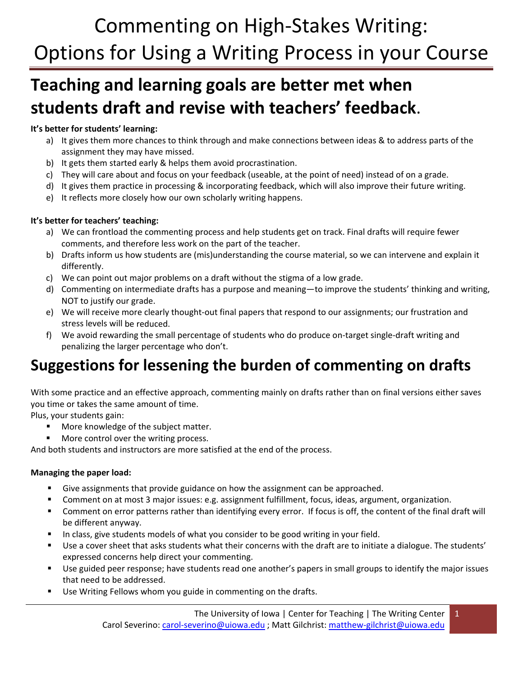# Commenting on High‐Stakes Writing: Options for Using a Writing Process in your Course

## **Teaching and learning goals are better met when students draft and revise with teachers' feedback**.

### **It's better for students' learning:**

- a) It gives them more chances to think through and make connections between ideas & to address parts of the assignment they may have missed.
- b) It gets them started early & helps them avoid procrastination.
- c) They will care about and focus on your feedback (useable, at the point of need) instead of on a grade.
- d) It gives them practice in processing & incorporating feedback, which will also improve their future writing.
- e) It reflects more closely how our own scholarly writing happens.

### **It's better for teachers' teaching:**

- a) We can frontload the commenting process and help students get on track. Final drafts will require fewer comments, and therefore less work on the part of the teacher.
- b) Drafts inform us how students are (mis)understanding the course material, so we can intervene and explain it differently.
- c) We can point out major problems on a draft without the stigma of a low grade.
- d) Commenting on intermediate drafts has a purpose and meaning—to improve the students' thinking and writing, NOT to justify our grade.
- e) We will receive more clearly thought‐out final papers that respond to our assignments; our frustration and stress levels will be reduced.
- f) We avoid rewarding the small percentage of students who do produce on‐target single‐draft writing and penalizing the larger percentage who don't.

## **Suggestions for lessening the burden of commenting on drafts**

With some practice and an effective approach, commenting mainly on drafts rather than on final versions either saves you time or takes the same amount of time.

Plus, your students gain:

- **More knowledge of the subject matter.**
- More control over the writing process.

And both students and instructors are more satisfied at the end of the process.

### **Managing the paper load:**

- Give assignments that provide guidance on how the assignment can be approached.
- Comment on at most 3 major issues: e.g. assignment fulfillment, focus, ideas, argument, organization.
- Comment on error patterns rather than identifying every error. If focus is off, the content of the final draft will be different anyway.
- In class, give students models of what you consider to be good writing in your field.
- Use a cover sheet that asks students what their concerns with the draft are to initiate a dialogue. The students' expressed concerns help direct your commenting.
- Use guided peer response; have students read one another's papers in small groups to identify the major issues that need to be addressed.
- Use Writing Fellows whom you guide in commenting on the drafts.